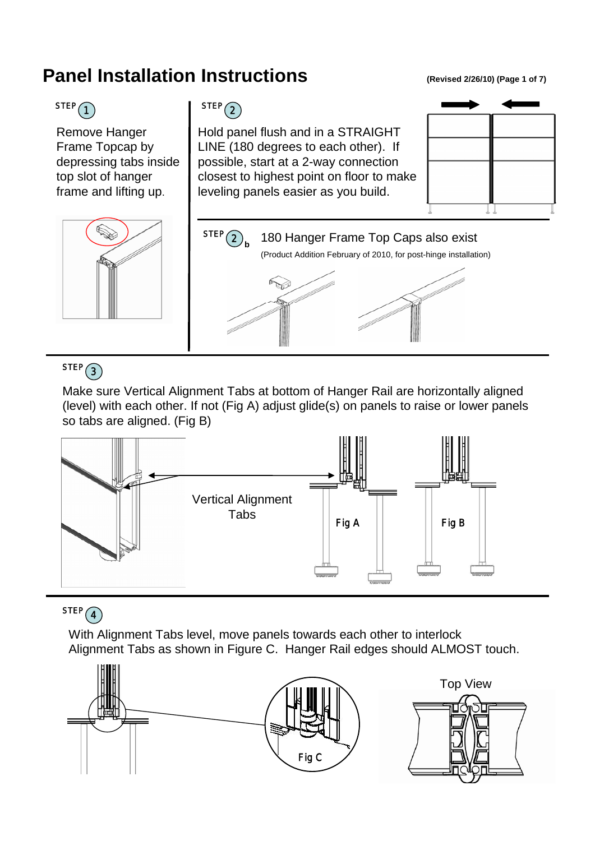# **Panel Installation Instructions** (Revised 2/26/10) (Page 1 of 7)



Remove Hanger Frame Topcap by depressing tabs inside top slot of hanger frame and lifting up.



Hold panel flush and in a STRAIGHT LINE (180 degrees to each other). If possible, start at a 2-way connection closest to highest point on floor to make leveling panels easier as you build.







### $STEP(3)$

Make sure Vertical Alignment Tabs at bottom of Hanger Rail are horizontally aligned (level) with each other. If not (Fig A) adjust glide(s) on panels to raise or lower panels so tabs are aligned. (Fig B)



### $STEP(4)$

With Alignment Tabs level, move panels towards each other to interlock Alignment Tabs as shown in Figure C. Hanger Rail edges should ALMOST touch.

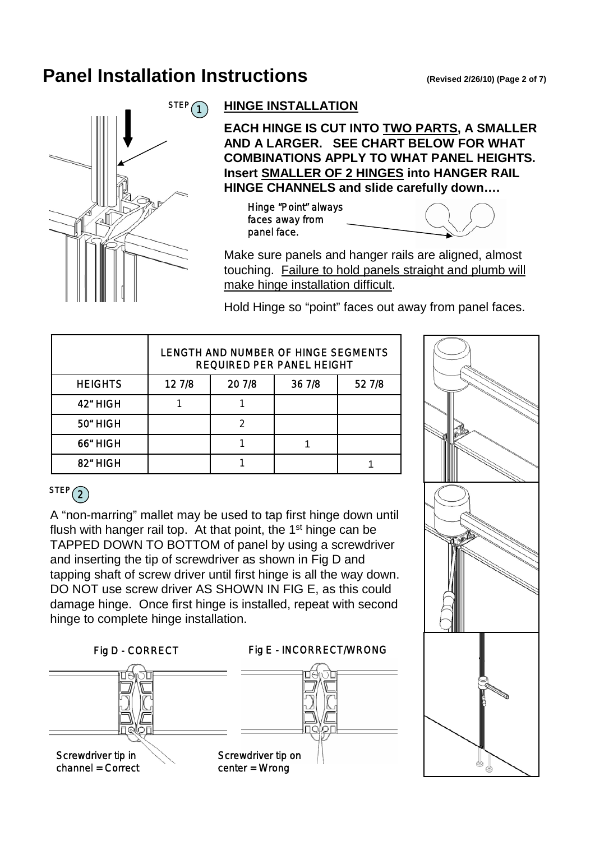## **Panel Installation Instructions** (Revised 2/26/10) (Page 2 of 7)



#### **HINGE INSTALLATION**

**EACH HINGE IS CUT INTO TWO PARTS, A SMALLER AND A LARGER. SEE CHART BELOW FOR WHAT COMBINATIONS APPLY TO WHAT PANEL HEIGHTS. Insert SMALLER OF 2 HINGES into HANGER RAIL HINGE CHANNELS and slide carefully down….**

Hinge "Point" always faces away from panel face.



Make sure panels and hanger rails are aligned, almost touching. Failure to hold panels straight and plumb will make hinge installation difficult.

Hold Hinge so "point" faces out away from panel faces.

|                | LENGTH AND NUMBER OF HINGE SEGMENTS<br><b>REQUIRED PER PANEL HEIGHT</b> |        |        |        |
|----------------|-------------------------------------------------------------------------|--------|--------|--------|
| <b>HEIGHTS</b> | 12 7/8                                                                  | 20 7/8 | 36 7/8 | 52 7/8 |
| 42" HIGH       |                                                                         |        |        |        |
| 50" HIGH       |                                                                         |        |        |        |
| 66" HIGH       |                                                                         |        |        |        |
| 82" HIGH       |                                                                         |        |        |        |



### $STEP(2)$

A "non-marring" mallet may be used to tap first hinge down until flush with hanger rail top. At that point, the 1<sup>st</sup> hinge can be TAPPED DOWN TO BOTTOM of panel by using a screwdriver and inserting the tip of screwdriver as shown in Fig D and tapping shaft of screw driver until first hinge is all the way down. DO NOT use screw driver AS SHOWN IN FIG E, as this could damage hinge. Once first hinge is installed, repeat with second hinge to complete hinge installation.





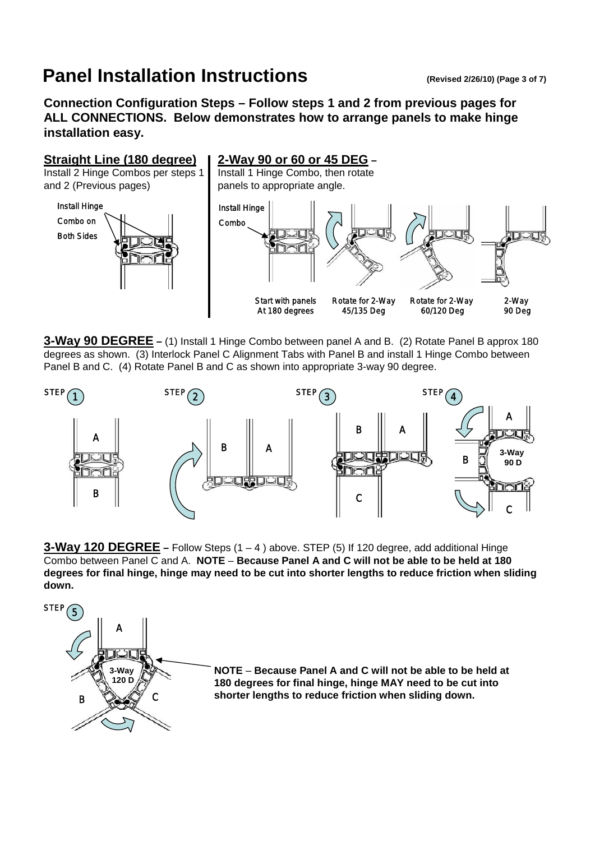## **Panel Installation Instructions** (Revised 2/26/10) (Page 3 of 7)

**Connection Configuration Steps – Follow steps 1 and 2 from previous pages for ALL CONNECTIONS. Below demonstrates how to arrange panels to make hinge installation easy.**



**3-Way 90 DEGREE –** (1) Install 1 Hinge Combo between panel A and B. (2) Rotate Panel B approx 180 degrees as shown. (3) Interlock Panel C Alignment Tabs with Panel B and install 1 Hinge Combo between Panel B and C. (4) Rotate Panel B and C as shown into appropriate 3-way 90 degree.



**3-Way 120 DEGREE –** Follow Steps (1 – 4 ) above. STEP (5) If 120 degree, add additional Hinge Combo between Panel C and A. **NOTE** – **Because Panel A and C will not be able to be held at 180 degrees for final hinge, hinge may need to be cut into shorter lengths to reduce friction when sliding down.**



**NOTE** – **Because Panel A and C will not be able to be held at 180 degrees for final hinge, hinge MAY need to be cut into shorter lengths to reduce friction when sliding down.**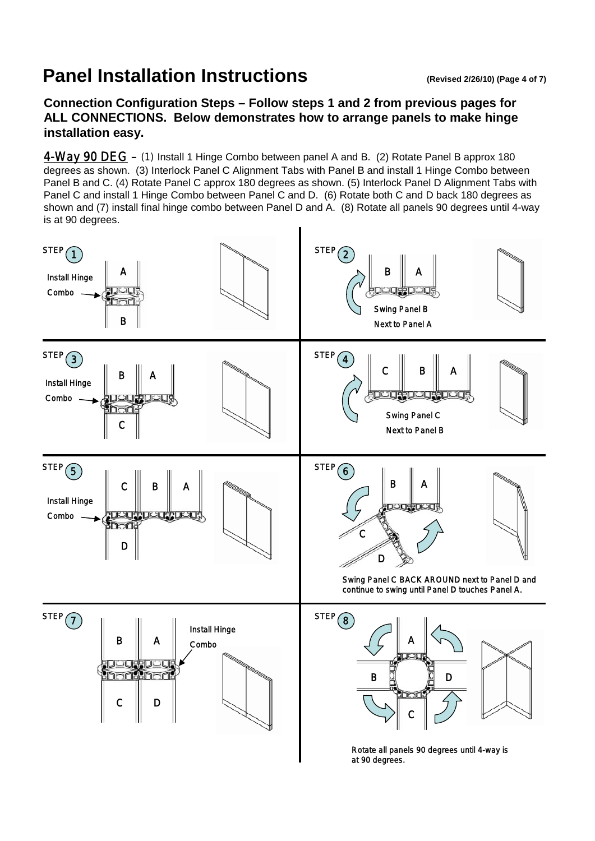## **Panel Installation Instructions** (Revised 2/26/10) (Page 4 of 7)

**Connection Configuration Steps – Follow steps 1 and 2 from previous pages for ALL CONNECTIONS. Below demonstrates how to arrange panels to make hinge installation easy.**

4-Way 90 DEG – (1) Install 1 Hinge Combo between panel A and B. (2) Rotate Panel B approx 180 degrees as shown. (3) Interlock Panel C Alignment Tabs with Panel B and install 1 Hinge Combo between Panel B and C. (4) Rotate Panel C approx 180 degrees as shown. (5) Interlock Panel D Alignment Tabs with Panel C and install 1 Hinge Combo between Panel C and D. (6) Rotate both C and D back 180 degrees as shown and (7) install final hinge combo between Panel D and A. (8) Rotate all panels 90 degrees until 4-way is at 90 degrees.

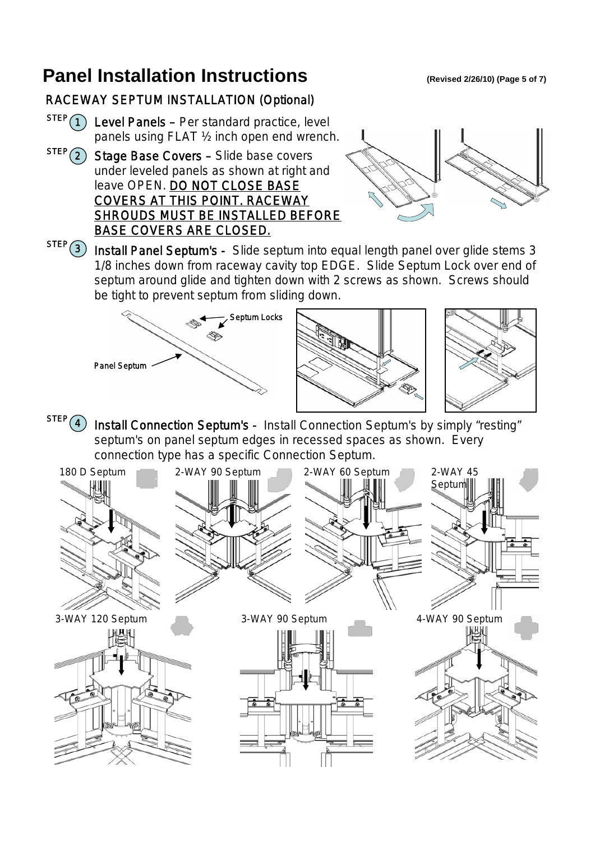## **Panel Installation Instructions** (Revised 2/26/10) (Page 5 of 7)

#### RACEWAY SEPTUM INSTALLATION (Optional)

- $\text{STEP}(1)$  Level Panels Per standard practice, level panels using FLAT ½ inch open end wrench.
- $STEP(2)$  Stage Base Covers Slide base covers under leveled panels as shown at right and leave OPEN. DO NOT CLOSE BASE COVERS AT THIS POINT. RACEWAY SHROUDS MUST BE INSTALLED BEFORE BASE COVERS ARE CLOSED.



 $\overline{\text{SIEP}(3)}$  Install Panel Septum's - Slide septum into equal length panel over glide stems 3 1/8 inches down from raceway cavity top EDGE. Slide Septum Lock over end of septum around glide and tighten down with 2 screws as shown. Screws should be tight to prevent septum from sliding down.







STEP(4) Install Connection Septum's - Install Connection Septum's by simply "resting" septum's on panel septum edges in recessed spaces as shown. Every connection type has a specific Connection Septum.

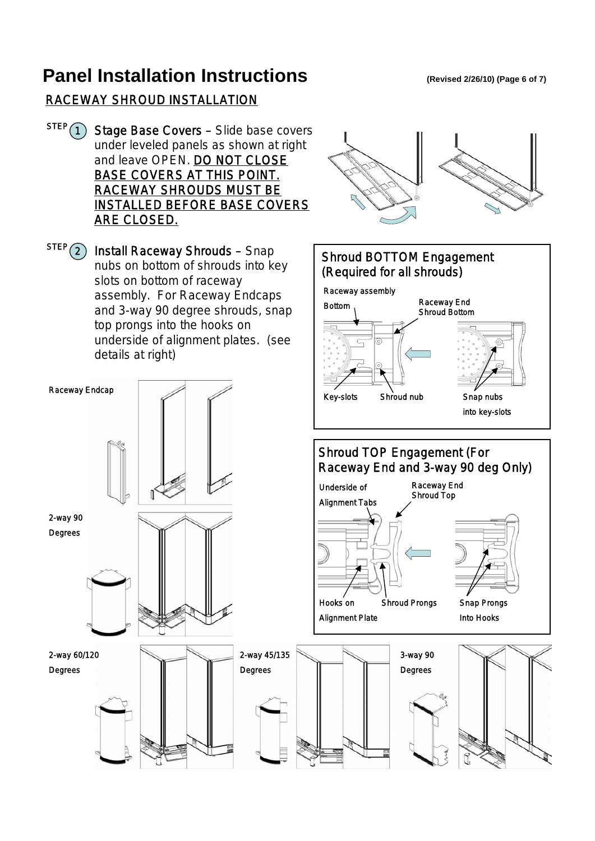## **Panel Installation Instructions** (Revised 2/26/10) (Page 6 of 7)

#### RACEWAY SHROUD INSTALLATION

- Stage Base Covers Slide base covers under leveled panels as shown at right and leave OPEN. DO NOT CLOSE BASE COVERS AT THIS POINT. RACEWAY SHROUDS MUST BE INSTALLED BEFORE BASE COVERS ARE CLOSED.  $STEP(1)$
- Install Raceway Shrouds Snap nubs on bottom of shrouds into key slots on bottom of raceway assembly. For Raceway Endcaps and 3-way 90 degree shrouds, snap top prongs into the hooks on underside of alignment plates. (see details at right)  $\text{STEP}(\text{2})$